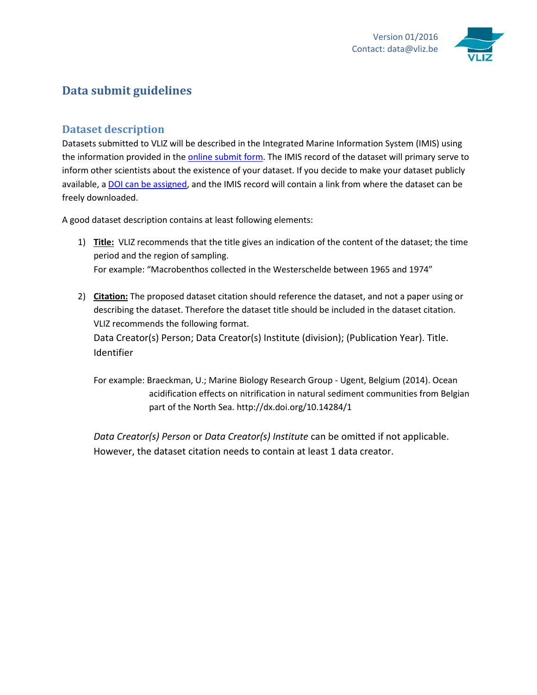

# **Data submit guidelines**

## **Dataset description**

Datasets submitted to VLIZ will be described in the Integrated Marine Information System (IMIS) using the information provided in th[e online submit](http://www.vliz.be/en/submit-form) form. The IMIS record of the dataset will primary serve to inform other scientists about the existence of your dataset. If you decide to make your dataset publicly available, a DOI can [be assigned,](http://www.vliz.be/node/633) and the IMIS record will contain a link from where the dataset can be freely downloaded.

A good dataset description contains at least following elements:

- 1) **Title:** VLIZ recommends that the title gives an indication of the content of the dataset; the time period and the region of sampling. For example: "Macrobenthos collected in the Westerschelde between 1965 and 1974"
- 2) **Citation:** The proposed dataset citation should reference the dataset, and not a paper using or describing the dataset. Therefore the dataset title should be included in the dataset citation. VLIZ recommends the following format.

Data Creator(s) Person; Data Creator(s) Institute (division); (Publication Year). Title. Identifier

For example: Braeckman, U.; Marine Biology Research Group - Ugent, Belgium (2014). Ocean acidification effects on nitrification in natural sediment communities from Belgian part of the North Sea. http://dx.doi.org/10.14284/1

*Data Creator(s) Person* or *Data Creator(s) Institute* can be omitted if not applicable. However, the dataset citation needs to contain at least 1 data creator.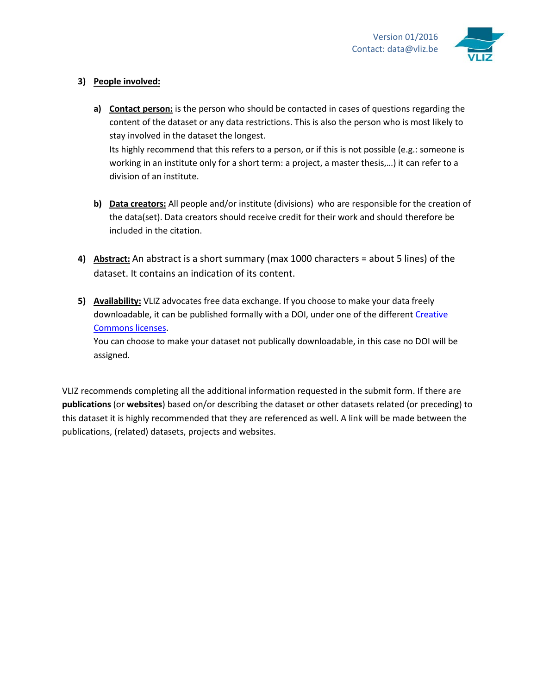

#### **3) People involved:**

- **a) Contact person:** is the person who should be contacted in cases of questions regarding the content of the dataset or any data restrictions. This is also the person who is most likely to stay involved in the dataset the longest. Its highly recommend that this refers to a person, or if this is not possible (e.g.: someone is working in an institute only for a short term: a project, a master thesis,…) it can refer to a division of an institute.
- **b) Data creators:** All people and/or institute (divisions) who are responsible for the creation of the data(set). Data creators should receive credit for their work and should therefore be included in the citation.
- **4) Abstract:** An abstract is a short summary (max 1000 characters = about 5 lines) of the dataset. It contains an indication of its content.
- **5) Availability:** VLIZ advocates free data exchange. If you choose to make your data freely downloadable, it can be published formally with a DOI, under one of the different Creative [Commons licenses.](http://creativecommons.org/choose/)

You can choose to make your dataset not publically downloadable, in this case no DOI will be assigned.

VLIZ recommends completing all the additional information requested in the submit form. If there are **publications** (or **websites**) based on/or describing the dataset or other datasets related (or preceding) to this dataset it is highly recommended that they are referenced as well. A link will be made between the publications, (related) datasets, projects and websites.